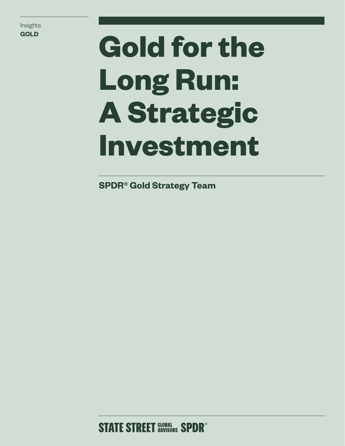Insights

# **Gold for the Long Run: A Strategic Investment**

**SPDR® Gold Strategy Team**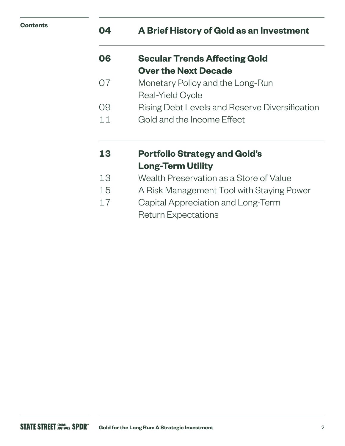## **04 A Brief History of Gold as an Investment**

| 06 | <b>Secular Trends Affecting Gold</b> |
|----|--------------------------------------|
|    | <b>Over the Next Decade</b>          |

- 07 Monetary Policy and the Long-Run Real-Yield Cycle
- 09 Rising Debt Levels and Reserve Diversification
- 11 Gold and the Income Effect

## **13 Portfolio Strategy and Gold's Long-Term Utility**

- 13 Wealth Preservation as a Store of Value
- 15 A Risk Management Tool with Staying Power
- 17 Capital Appreciation and Long-Term Return Expectations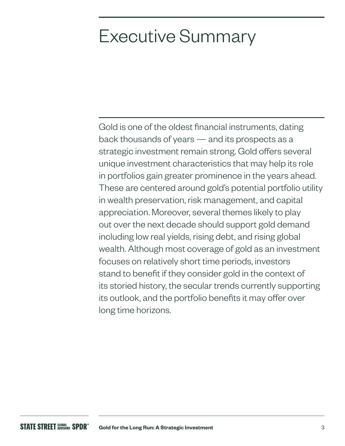## Executive Summary

Gold is one of the oldest financial instruments, dating back thousands of years — and its prospects as a strategic investment remain strong. Gold offers several unique investment characteristics that may help its role in portfolios gain greater prominence in the years ahead. These are centered around gold's potential portfolio utility in wealth preservation, risk management, and capital appreciation. Moreover, several themes likely to play out over the next decade should support gold demand including low real yields, rising debt, and rising global wealth. Although most coverage of gold as an investment focuses on relatively short time periods, investors stand to benefit if they consider gold in the context of its storied history, the secular trends currently supporting its outlook, and the portfolio benefits it may offer over long time horizons.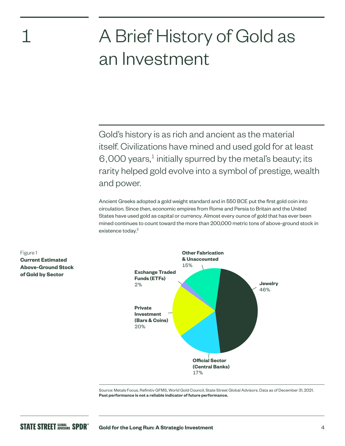## 1

## A Brief History of Gold as an Investment

Gold's history is as rich and ancient as the material itself. Civilizations have mined and used gold for at least 6,000 years, $<sup>1</sup>$  initially spurred by the metal's beauty; its</sup> rarity helped gold evolve into a symbol of prestige, wealth and power.

Ancient Greeks adopted a gold weight standard and in 550 BCE put the first gold coin into circulation. Since then, economic empires from Rome and Persia to Britain and the United States have used gold as capital or currency. Almost every ounce of gold that has ever been mined continues to count toward the more than 200,000 metric tons of above-ground stock in existence today.<sup>2</sup>



Source: Metals Focus, Refinitiv GFMS, World Gold Council, State Street Global Advisors. Data as of December 31, 2021. **Past performance is not a reliable indicator of future performance.**

## Figure 1 **Current Estimated Above-Ground Stock of Gold by Sector**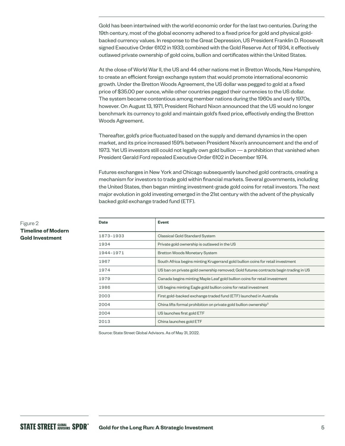Gold has been intertwined with the world economic order for the last two centuries. During the 19th century, most of the global economy adhered to a fixed price for gold and physical goldbacked currency values. In response to the Great Depression, US President Franklin D. Roosevelt signed Executive Order 6102 in 1933; combined with the Gold Reserve Act of 1934, it effectively outlawed private ownership of gold coins, bullion and certificates within the United States.

At the close of World War II, the US and 44 other nations met in Bretton Woods, New Hampshire, to create an efficient foreign exchange system that would promote international economic growth. Under the Bretton Woods Agreement, the US dollar was pegged to gold at a fixed price of \$35.00 per ounce, while other countries pegged their currencies to the US dollar. The system became contentious among member nations during the 1960s and early 1970s, however. On August 13, 1971, President Richard Nixon announced that the US would no longer benchmark its currency to gold and maintain gold's fixed price, effectively ending the Bretton Woods Agreement.

Thereafter, gold's price fluctuated based on the supply and demand dynamics in the open market, and its price increased 159% between President Nixon's announcement and the end of 1973. Yet US investors still could not legally own gold bullion — a prohibition that vanished when President Gerald Ford repealed Executive Order 6102 in December 1974.

Futures exchanges in New York and Chicago subsequently launched gold contracts, creating a mechanism for investors to trade gold within financial markets. Several governments, including the United States, then began minting investment-grade gold coins for retail investors. The next major evolution in gold investing emerged in the 21st century with the advent of the physically backed gold exchange traded fund (ETF).

| <b>Date</b> | <b>Event</b>                                                                         |  |  |  |
|-------------|--------------------------------------------------------------------------------------|--|--|--|
| 1873-1933   | Classical Gold Standard System                                                       |  |  |  |
| 1934        | Private gold ownership is outlawed in the US                                         |  |  |  |
| 1944-1971   | <b>Bretton Woods Monetary System</b>                                                 |  |  |  |
| 1967        | South Africa begins minting Krugerrand gold bullion coins for retail investment      |  |  |  |
| 1974        | US ban on private gold ownership removed; Gold futures contracts begin trading in US |  |  |  |
| 1979        | Canada begins minting Maple Leaf gold bullion coins for retail investment            |  |  |  |
| 1986        | US begins minting Eagle gold bullion coins for retail investment                     |  |  |  |
| 2003        | First gold-backed exchange traded fund (ETF) launched in Australia                   |  |  |  |
| 2004        | China lifts formal prohibition on private gold bullion ownership <sup>3</sup>        |  |  |  |
| 2004        | US launches first gold ETF                                                           |  |  |  |
| 2013        | China launches gold ETF                                                              |  |  |  |

Source: State Street Global Advisors. As of May 31, 2022.

### Figure 2 **Timeline of Modern Gold Investment**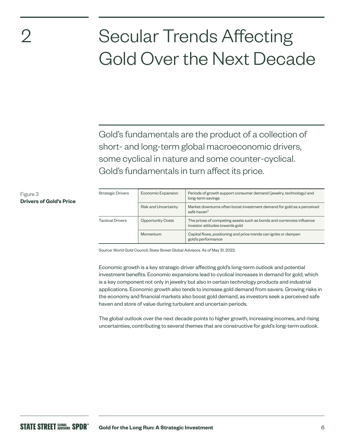## 2

Figure 3

**Drivers of Gold's Price**

## Secular Trends Affecting Gold Over the Next Decade

Gold's fundamentals are the product of a collection of short- and long-term global macroeconomic drivers, some cyclical in nature and some counter-cyclical. Gold's fundamentals in turn affect its price.

| <b>Strategic Drivers</b> | Economic Expansion          | Periods of growth support consumer demand (jewelry, technology) and<br>long-term savings                 |  |  |
|--------------------------|-----------------------------|----------------------------------------------------------------------------------------------------------|--|--|
|                          | <b>Risk and Uncertainty</b> | Market downturns often boost investment demand for gold as a perceived<br>safe haven <sup>4</sup>        |  |  |
| <b>Tactical Drivers</b>  | <b>Opportunity Costs</b>    | The prices of competing assets such as bonds and currencies influence<br>investor attitudes towards gold |  |  |
|                          | Momentum                    | Capital flows, positioning and price trends can ignite or dampen<br>gold's performance                   |  |  |

Source: World Gold Council, State Street Global Advisors. As of May 31, 2022.

Economic growth is a key strategic driver affecting gold's long-term outlook and potential investment benefits. Economic expansions lead to cyclical increases in demand for gold, which is a key component not only in jewelry but also in certain technology products and industrial applications. Economic growth also tends to increase gold demand from savers. Growing risks in the economy and financial markets also boost gold demand, as investors seek a perceived safe haven and store of value during turbulent and uncertain periods.

The global outlook over the next decade points to higher growth, increasing incomes, and rising uncertainties, contributing to several themes that are constructive for gold's long-term outlook.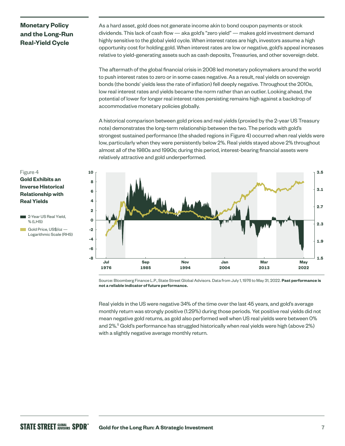## **Monetary Policy and the Long-Run Real-Yield Cycle**

As a hard asset, gold does not generate income akin to bond coupon payments or stock dividends. This lack of cash flow — aka gold's "zero yield" — makes gold investment demand highly sensitive to the global yield cycle. When interest rates are high, investors assume a high opportunity cost for holding gold. When interest rates are low or negative, gold's appeal increases relative to yield-generating assets such as cash deposits, Treasuries, and other sovereign debt.

The aftermath of the global financial crisis in 2008 led monetary policymakers around the world to push interest rates to zero or in some cases negative. As a result, real yields on sovereign bonds (the bonds' yields less the rate of inflation) fell deeply negative. Throughout the 2010s, low real interest rates and yields became the norm rather than an outlier. Looking ahead, the potential of lower for longer real interest rates persisting remains high against a backdrop of accommodative monetary policies globally.

A historical comparison between gold prices and real yields (proxied by the 2-year US Treasury note) demonstrates the long-term relationship between the two. The periods with gold's strongest sustained performance (the shaded regions in Figure 4) occurred when real yields were low, particularly when they were persistently below 2%. Real yields stayed above 2% throughout almost all of the 1980s and 1990s; during this period, interest-bearing financial assets were relatively attractive and gold underperformed.



Source: Bloomberg Finance L.P., State Street Global Advisors. Data from July 1, 1976 to May 31, 2022. **Past performance is not a reliable indicator of future performance.**

Real yields in the US were negative 34% of the time over the last 45 years, and gold's average monthly return was strongly positive (1.29%) during those periods. Yet positive real yields did not mean negative gold returns, as gold also performed well when US real yields were between 0% and 2%.<sup>5</sup> Gold's performance has struggled historically when real yields were high (above 2%) with a slightly negative average monthly return.

## Figure 4 **Gold Exhibits an Inverse Historical Relationship with Real Yields**

- **2-Year US Real Yield,** % (LHS)
- Gold Price, US\$/oz -Logarithmic Scale (RHS)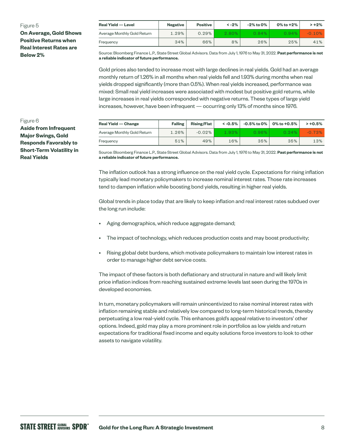#### **Real Yield — Level Negative Positive < -2% -2% to 0% 0% to +2% > +2%** Average Monthly Gold Return  $\begin{array}{|c|c|c|c|c|c|c|c|c|} \hline \text{A} & \text{A} & \text{B} & \text{B} & \text{A} & \text{B} & \text{B} & \text{A} \end{array}$  Average Monthly Gold Return  $\begin{array}{|c|c|c|c|c|c|c|c|c|} \hline \text{A} & \text{B} & \text{B} & \text{B} & \text{B} & \text{B} & \text{B} & \text{B} & \text{B} &$ Frequency 34% 66% 8% 26% 25% 41% Figure 5 **On Average, Gold Shows Positive Returns when Real Interest Rates are Below 2%**

Source: Bloomberg Finance L.P., State Street Global Advisors. Data from July 1, 1976 to May 31, 2022. **Past performance is not a reliable indicator of future performance.**

Gold prices also tended to increase most with large declines in real yields. Gold had an average monthly return of 1.26% in all months when real yields fell and 1.93% during months when real yields dropped significantly (more than 0.5%). When real yields increased, performance was mixed: Small real yield increases were associated with modest but positive gold returns, while large increases in real yields corresponded with negative returns. These types of large yield increases, however, have been infrequent — occurring only 13% of months since 1976.

### Figure 6

**Aside from Infrequent Major Swings, Gold Responds Favorably to Short-Term Volatility in Real Yields**

| <b>Real Yield — Change</b>  | <b>Falling</b> | <b>Rising/Flat</b> | $\leq -0.5\%$ |       | $-0.5\%$ to 0% $\vert$ 0% to +0.5% | $> +0.5%$ |
|-----------------------------|----------------|--------------------|---------------|-------|------------------------------------|-----------|
| Average Monthly Gold Return | 1.26%          | $-0.02\%$          | 1.93%         | 0.96% | 0.24%                              | $-0.73%$  |
| Freauencv                   | 51%            | 49%                | 16%           | 35%   | 35%                                | 13%       |

Source: Bloomberg Finance L.P., State Street Global Advisors. Data from July 1, 1976 to May 31, 2022. **Past performance is not a reliable indicator of future performance.**

The inflation outlook has a strong influence on the real yield cycle. Expectations for rising inflation typically lead monetary policymakers to increase nominal interest rates. Those rate increases tend to dampen inflation while boosting bond yields, resulting in higher real yields.

Global trends in place today that are likely to keep inflation and real interest rates subdued over the long run include:

- Aging demographics, which reduce aggregate demand;
- The impact of technology, which reduces production costs and may boost productivity;
- Rising global debt burdens, which motivate policymakers to maintain low interest rates in order to manage higher debt service costs.

The impact of these factors is both deflationary and structural in nature and will likely limit price inflation indices from reaching sustained extreme levels last seen during the 1970s in developed economies.

In turn, monetary policymakers will remain unincentivized to raise nominal interest rates with inflation remaining stable and relatively low compared to long-term historical trends, thereby perpetuating a low real-yield cycle. This enhances gold's appeal relative to investors' other options. Indeed, gold may play a more prominent role in portfolios as low yields and return expectations for traditional fixed income and equity solutions force investors to look to other assets to navigate volatility.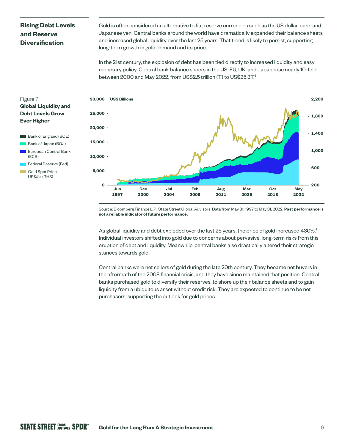## **Rising Debt Levels and Reserve Diversification**

Gold is often considered an alternative to fiat reserve currencies such as the US dollar, euro, and Japanese yen. Central banks around the world have dramatically expanded their balance sheets and increased global liquidity over the last 25 years. That trend is likely to persist, supporting long-term growth in gold demand and its price.

In the 21st century, the explosion of debt has been tied directly to increased liquidity and easy monetary policy. Central bank balance sheets in the US, EU, UK, and Japan rose nearly 10-fold between 2000 and May 2022, from US\$2.5 trillion (T) to US\$25.3T.<sup>6</sup>

## Figure 7 **Global Liquidity and Debt Levels Grow Ever Higher**

- Bank of England (BOE)
- Bank of Japan (BOJ)
- European Central Bank (ECB)
- Federal Reserve (Fed)
- Gold Spot Price, US\$/oz (RHS)



Source: Bloomberg Finance L.P., State Street Global Advisors. Data from May 31, 1997 to May 31, 2022. **Past performance is not a reliable indicator of future performance.**

As global liquidity and debt exploded over the last 25 years, the price of gold increased 430%.<sup>7</sup> Individual investors shifted into gold due to concerns about pervasive, long-term risks from this eruption of debt and liquidity. Meanwhile, central banks also drastically altered their strategic stances towards gold.

Central banks were net sellers of gold during the late 20th century. They became net buyers in the aftermath of the 2008 financial crisis, and they have since maintained that position. Central banks purchased gold to diversify their reserves, to shore up their balance sheets and to gain liquidity from a ubiquitous asset without credit risk. They are expected to continue to be net purchasers, supporting the outlook for gold prices.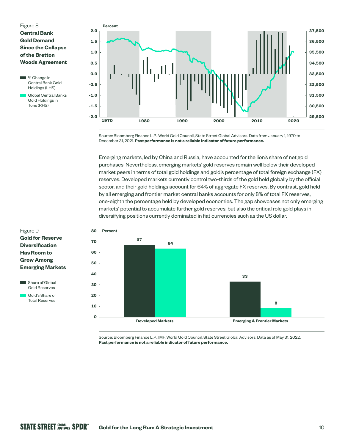### Figure 8 **Central Bank Gold Demand Since the Collapse of the Bretton Woods Agreement**

**M** % Change in Central Bank Gold Holdings (LHS)

 Global Central Banks Gold Holdings in Tons (RHS)



Source: Bloomberg Finance L.P., World Gold Council, State Street Global Advisors. Data from January 1, 1970 to December 31, 2021. **Past performance is not a reliable indicator of future performance.**

Emerging markets, led by China and Russia, have accounted for the lion's share of net gold purchases. Nevertheless, emerging markets' gold reserves remain well below their developedmarket peers in terms of total gold holdings and gold's percentage of total foreign exchange (FX) reserves. Developed markets currently control two-thirds of the gold held globally by the official sector, and their gold holdings account for 64% of aggregate FX reserves. By contrast, gold held by all emerging and frontier market central banks accounts for only 8% of total FX reserves, one-eighth the percentage held by developed economies. The gap showcases not only emerging markets' potential to accumulate further gold reserves, but also the critical role gold plays in diversifying positions currently dominated in fiat currencies such as the US dollar.



Source: Bloomberg Finance L.P., IMF, World Gold Council, State Street Global Advisors. Data as of May 31, 2022. **Past performance is not a reliable indicator of future performance.**

## Figure 9 **Gold for Reserve Diversification Has Room to Grow Among Emerging Markets**

Share of Global Gold Reserves

 Gold's Share of Total Reserves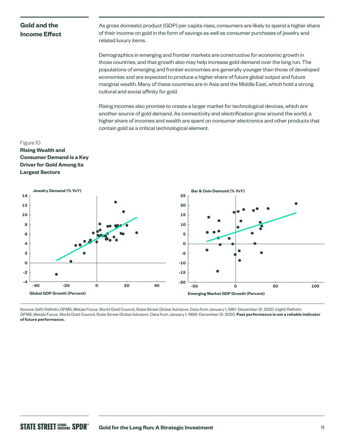## **Gold and the Income Effect**

As gross domestic product (GDP) per capita rises, consumers are likely to spend a higher share of their income on gold in the form of savings as well as consumer purchases of jewelry and related luxury items.

Demographics in emerging and frontier markets are constructive for economic growth in those countries, and that growth also may help increase gold demand over the long run. The populations of emerging and frontier economies are generally younger than those of developed economies and are expected to produce a higher share of future global output and future marginal wealth. Many of these countries are in Asia and the Middle East, which hold a strong cultural and social affinity for gold.

Rising incomes also promise to create a larger market for technological devices, which are another source of gold demand. As connectivity and electrification grow around the world, a higher share of incomes and wealth are spent on consumer electronics and other products that contain gold as a critical technological element.

## Figure 10 **Rising Wealth and Consumer Demand is a Key Driver for Gold Among its Largest Sectors**



Source: (left) Refinitiv GFMS, Metals Focus, World Gold Council, State Street Global Advisors. Data from January 1, 1981–December 31, 2020. (right) Refinitiv GFMS, Metals Focus, World Gold Council, State Street Global Advisors. Data from January 1, 1992–December 31, 2020. **Past performance is not a reliable indicator of future performance.**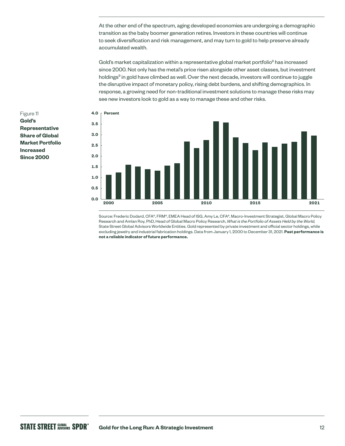At the other end of the spectrum, aging developed economies are undergoing a demographic transition as the baby boomer generation retires. Investors in these countries will continue to seek diversification and risk management, and may turn to gold to help preserve already accumulated wealth.

Gold's market capitalization within a representative global market portfolio<sup>8</sup> has increased since 2000. Not only has the metal's price risen alongside other asset classes, but investment holdings<sup>9</sup> in gold have climbed as well. Over the next decade, investors will continue to juggle the disruptive impact of monetary policy, rising debt burdens, and shifting demographics. In response, a growing need for non-traditional investment solutions to manage these risks may see new investors look to gold as a way to manage these and other risks.



Source: Frederic Dodard, CFA®, FRM®, EMEA Head of ISG, Amy Le, CFA®, Macro-Investment Strategist, Global Macro Policy Research and Amlan Roy, PhD, Head of Global Macro Policy Research, *What is the Portfolio of Assets Held by the World,* State Street Global Advisors Worldwide Entities. Gold represented by private investment and official sector holdings, while excluding jewelry and industrial fabrication holdings. Data from January 1, 2000 to December 31, 2021. **Past performance is not a reliable indicator of future performance.** 

Figure 11 **Gold's Representative Share of Global Market Portfolio Increased Since 2000**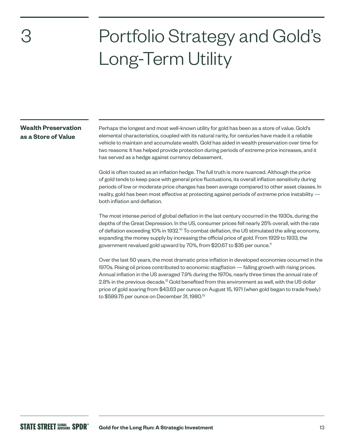3

## Portfolio Strategy and Gold's Long-Term Utility

## **Wealth Preservation as a Store of Value**

Perhaps the longest and most well-known utility for gold has been as a store of value. Gold's elemental characteristics, coupled with its natural rarity, for centuries have made it a reliable vehicle to maintain and accumulate wealth. Gold has aided in wealth preservation over time for two reasons: It has helped provide protection during periods of extreme price increases, and it has served as a hedge against currency debasement.

Gold is often touted as an inflation hedge. The full truth is more nuanced. Although the price of gold tends to keep pace with general price fluctuations, its overall inflation sensitivity during periods of low or moderate price changes has been average compared to other asset classes. In reality, gold has been most effective at protecting against periods of *extreme* price instability both inflation and deflation.

The most intense period of global deflation in the last century occurred in the 1930s, during the depths of the Great Depression. In the US, consumer prices fell nearly 25% overall, with the rate of deflation exceeding 10% in 1932.<sup>10</sup> To combat deflation, the US stimulated the ailing economy, expanding the money supply by increasing the official price of gold. From 1929 to 1933, the government revalued gold upward by 70%, from \$20.67 to \$35 per ounce.<sup>11</sup>

Over the last 50 years, the most dramatic price inflation in developed economies occurred in the 1970s. Rising oil prices contributed to economic stagflation — falling growth with rising prices. Annual inflation in the US averaged 7.9% during the 1970s, nearly three times the annual rate of 2.8% in the previous decade.<sup>12</sup> Gold benefited from this environment as well, with the US dollar price of gold soaring from \$43.63 per ounce on August 15, 1971 (when gold began to trade freely) to \$589.75 per ounce on December 31, 1980.<sup>13</sup>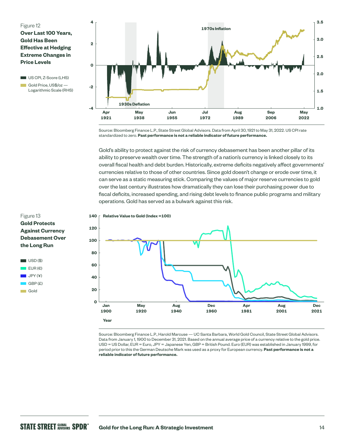### Figure 12

**Over Last 100 Years, Gold Has Been Effective at Hedging Extreme Changes in Price Levels**

US CPI, Z-Score (LHS)

Gold Price, US\$/oz — Logarithmic Scale (RHS)



Source: Bloomberg Finance L.P., State Street Global Advisors. Data from April 30, 1921 to May 31, 2022. US CPI rate standardized to zero. **Past performance is not a reliable indicator of future performance.**

Gold's ability to protect against the risk of currency debasement has been another pillar of its ability to preserve wealth over time. The strength of a nation's currency is linked closely to its overall fiscal health and debt burden. Historically, extreme deficits negatively affect governments' currencies relative to those of other countries. Since gold doesn't change or erode over time, it can serve as a static measuring stick. Comparing the values of major reserve currencies to gold over the last century illustrates how dramatically they can lose their purchasing power due to fiscal deficits, increased spending, and rising debt levels to finance public programs and military operations. Gold has served as a bulwark against this risk.

#### **Relative Value to Gold (Index =100) 140**



Source: Bloomberg Finance L.P., Harold Marcuse — UC Santa Barbara, World Gold Council, State Street Global Advisors. Data from January 1, 1900 to December 31, 2021. Based on the annual average price of a currency relative to the gold price. USD = US Dollar, EUR = Euro, JPY = Japanese Yen, GBP = British Pound. Euro (EUR) was established in January 1999, for period prior to this the German Deutsche Mark was used as a proxy for European currency. **Past performance is not a reliable indicator of future performance.**

## Figure 13 **Gold Protects Against Currency Debasement Over the Long Run**

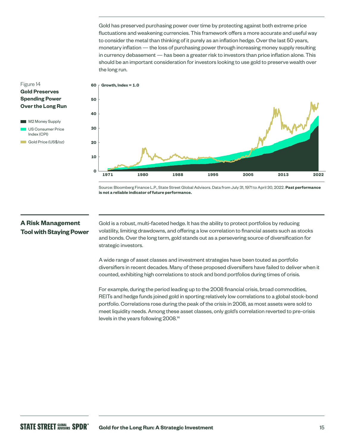Gold has preserved purchasing power over time by protecting against both extreme price fluctuations and weakening currencies. This framework offers a more accurate and useful way to consider the metal than thinking of it purely as an inflation hedge. Over the last 50 years, monetary inflation — the loss of purchasing power through increasing money supply resulting in currency debasement — has been a greater risk to investors than price inflation alone. This should be an important consideration for investors looking to use gold to preserve wealth over the long run.

## **Gold Preserves Spending Power Over the Long Run M2 Money Supply** US Consumer Price

Index (CPI) Gold Price (US\$/oz)

Figure 14



Source: Bloomberg Finance L.P., State Street Global Advisors. Data from July 31, 1971 to April 30, 2022. **Past performance is not a reliable indicator of future performance.**

## **A Risk Management Tool with Staying Power**

Gold is a robust, multi-faceted hedge. It has the ability to protect portfolios by reducing volatility, limiting drawdowns, and offering a low correlation to financial assets such as stocks and bonds. Over the long term, gold stands out as a persevering source of diversification for strategic investors.

A wide range of asset classes and investment strategies have been touted as portfolio diversifiers in recent decades. Many of these proposed diversifiers have failed to deliver when it counted, exhibiting high correlations to stock and bond portfolios during times of crisis.

For example, during the period leading up to the 2008 financial crisis, broad commodities, REITs and hedge funds joined gold in sporting relatively low correlations to a global stock-bond portfolio. Correlations rose during the peak of the crisis in 2008, as most assets were sold to meet liquidity needs. Among these asset classes, only gold's correlation reverted to pre-crisis levels in the years following 2008.14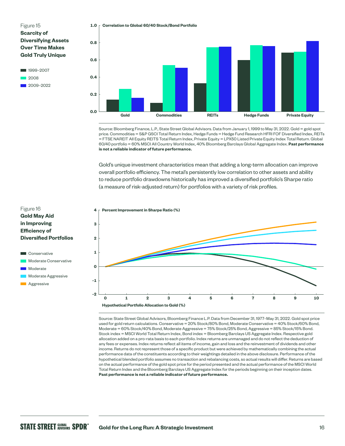Figure 15 **Scarcity of Diversifying Assets Over Time Makes Gold Truly Unique**



**Correlation to Global 60/40 Stock/Bond Portfolio 1.0**



Source: Bloomberg Finance, L.P., State Street Global Advisors. Data from January 1, 1999 to May 31, 2022. Gold = gold spot price. Commodities = S&P GSCI Total Return Index, Hedge Funds = Hedge Fund Research HFRI FOF Diversified Index, REITs = FTSE NAREIT All Equity REITS Total Return Index, Private Equity = LPX50 Listed Private Equity Index Total Return. Global 60/40 portfolio = 60% MSCI All Country World Index, 40% Bloomberg Barclays Global Aggregate Index. **Past performance is not a reliable indicator of future performance.**

Gold's unique investment characteristics mean that adding a long-term allocation can improve overall portfolio efficiency. The metal's persistently low correlation to other assets and ability to reduce portfolio drawdowns historically has improved a diversified portfolio's Sharpe ratio (a measure of risk-adjusted return) for portfolios with a variety of risk profiles.



Source: State Street Global Advisors, Bloomberg Finance L.P. Data from December 31, 1977–May 31, 2022. Gold spot price used for gold return calculations. Conservative = 20% Stock/80% Bond, Moderate Conservative = 40% Stock/60% Bond, Moderate = 60% Stock/40% Bond, Moderate Aggressive = 75% Stock/25% Bond, Aggressive = 85% Stock/15% Bond. Stock index = MSCI World Total Return Index, Bond index = Bloomberg Barclays US Aggregate Index. Respective gold allocation added on a pro-rata basis to each portfolio. Index returns are unmanaged and do not reflect the deduction of any fees or expenses. Index returns reflect all items of income, gain and loss and the reinvestment of dividends and other income. Returns do not represent those of a specific product but were achieved by mathematically combining the actual performance data of the constituents according to their weightings detailed in the above disclosure. Performance of the hypothetical blended portfolio assumes no transaction and rebalancing costs, so actual results will differ. Returns are based on the actual performance of the gold spot price for the period presented and the actual performance of the MSCI World Total Return Index and the Bloomberg Barclays US Aggregate Index for the periods beginning on their inception dates. **Past performance is not a reliable indicator of future performance.**



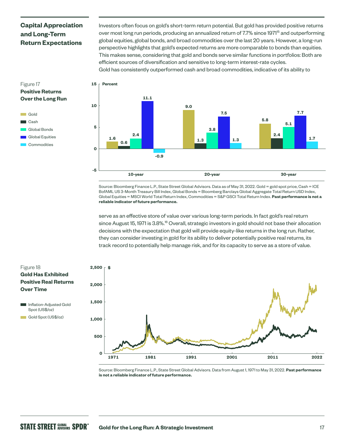## **Capital Appreciation and Long-Term Return Expectations**

Investors often focus on gold's short-term return potential. But gold has provided positive returns over most long run periods, producing an annualized return of 7.7% since 1971<sup>15</sup> and outperforming global equities, global bonds, and broad commodities over the last 20 years. However, a long-run perspective highlights that gold's expected returns are more comparable to bonds than equities. This makes sense, considering that gold and bonds serve similar functions in portfolios: Both are efficient sources of diversification and sensitive to long-term interest-rate cycles. Gold has consistently outperformed cash and broad commodities, indicative of its ability to



Global Equities **Commodities** 



Source: Bloomberg Finance L.P., State Street Global Advisors. Data as of May 31, 2022. Gold = gold spot price, Cash = ICE BofAML US 3-Month Treasury Bill Index, Global Bonds = Bloomberg Barclays Global Aggregate Total Return USD Index, Global Equities = MSCI World Total Return Index, Commodities = S&P GSCI Total Return Index. **Past performance is not a reliable indicator of future performance.**

serve as an effective store of value over various long-term periods. In fact gold's real return since August 15, 1971 is 3.8%.<sup>16</sup> Overall, strategic investors in gold should not base their allocation decisions with the expectation that gold will provide equity-like returns in the long run. Rather, they can consider investing in gold for its ability to deliver potentially positive real returns, its track record to potentially help manage risk, and for its capacity to serve as a store of value.



Source: Bloomberg Finance L.P., State Street Global Advisors. Data from August 1, 1971 to May 31, 2022. **Past performance is not a reliable indicator of future performance.**

## Figure 18 **Gold Has Exhibited Positive Real Returns Over Time**

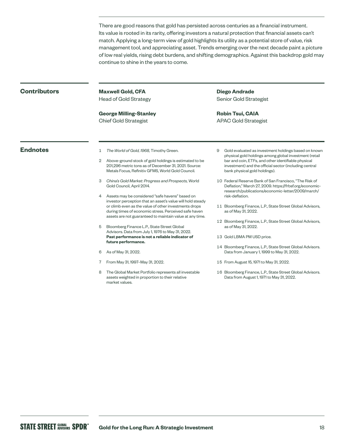There are good reasons that gold has persisted across centuries as a financial instrument. Its value is rooted in its rarity, offering investors a natural protection that financial assets can't match. Applying a long-term view of gold highlights its utility as a potential store of value, risk management tool, and appreciating asset. Trends emerging over the next decade paint a picture of low real yields, rising debt burdens, and shifting demographics. Against this backdrop gold may continue to shine in the years to come.

### **Contributors**

**Maxwell Gold, CFA** Head of Gold Strategy

**George Milling-Stanley** Chief Gold Strategist

**Diego Andrade** Senior Gold Strategist

**Robin Tsui, CAIA** APAC Gold Strategist

- **Endnotes** 1 *The World of Gold, 1968, Timothy Green.* 
	- 2 Above-ground stock of gold holdings is estimated to be 201,296 metric tons as of December 31, 2021. Source: Metals Focus, Refinitiv GFMS, World Gold Council.
	- 3 *China's Gold Market: Progress and Prospects,* World Gold Council, April 2014.
	- 4 Assets may be considered "safe havens" based on investor perception that an asset's value will hold steady or climb even as the value of other investments drops during times of economic stress. Perceived safe haven assets are not guaranteed to maintain value at any time.
	- 5 Bloomberg Finance L.P., State Street Global Advisors. Data from July 1, 1976 to May 31, 2022. **Past performance is not a reliable indicator of future performance.**
	- 6 As of May 31, 2022.
	- 7 From May 31, 1997–May 31, 2022.
	- The Global Market Portfolio represents all investable assets weighted in proportion to their relative market values.
- 9 Gold evaluated as investment holdings based on known physical gold holdings among global investment (retail bar and coin, ETFs, and other identifiable physical investment) and the official sector (including central bank physical gold holdings).
- 10 Federal Reserve Bank of San Francisco, "The Risk of Deflation," March 27, 2009. [https://frbsf.org/economic](https://www.frbsf.org/economic-research/publications/economic-letter/2009/march/risk-deflation)[research/publications/economic-letter/2009/march/](https://www.frbsf.org/economic-research/publications/economic-letter/2009/march/risk-deflation) [risk-deflation.](https://www.frbsf.org/economic-research/publications/economic-letter/2009/march/risk-deflation)
- 11 Bloomberg Finance, L.P., State Street Global Advisors, as of May 31, 2022.
- 12 Bloomberg Finance, L.P., State Street Global Advisors, as of May 31, 2022.
- 13 Gold LBMA PM USD price.
- 14 Bloomberg Finance, L.P., State Street Global Advisors. Data from January 1, 1999 to May 31, 2022.
- 15 From August 15, 1971 to May 31, 2022.
- 16 Bloomberg Finance, L.P., State Street Global Advisors. Data from August 1, 1971 to May 31, 2022.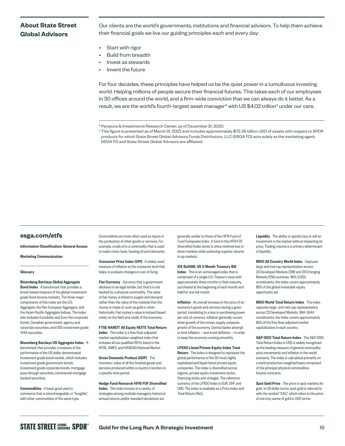## **About State Street Global Advisors**

Our clients are the world's governments, institutions and financial advisors. To help them achieve their financial goals we live our guiding principles each and every day:

- Start with rigor
- Build from breadth
- Invest as stewards
- Invent the future

For four decades, these principles have helped us be the quiet power in a tumultuous investing world. Helping millions of people secure their financial futures. This takes each of our employees in 30 offices around the world, and a firm-wide conviction that we can always do it better. As a result, we are the world's fourth-largest asset manager\* with US \$4.02 trillion† under our care.

### **[ssga.com/etfs](http://ssga.com/etfs)**

Information Classification: General Access

Marketing Communication

#### **Glossarv**

Bloomberg Barclays Global Aggregate Bond Index A benchmark that provides a broad-based measure of the global investmentgrade fixed income markets. The three major components of this index are the U.S. Aggregate, the Pan-European Aggregate, and the Asian-Pacific Aggregate Indices. The index also includes Eurodollar and Euro-Yen corporate bonds, Canadian government, agency and corporate securities, and USD investment-grade 144A securities.

Bloomberg Barclays US Aggregate Index A benchmark that provides a measure of the performance of the US dollar denominated investment grade bond market, which includes investment grade government bonds, investment grade corporate bonds, mortgage pass through securities, commercial mortgage backed securities.

Commodities A basic good used in commerce that is interchangeable, or "fungible," with other commodities of the same type.

Commodities are most often used as inputs in the production of other goods or services. For example, crude oil is a commodity that is used to make motor fuels, heating oil and lubricants.

Consumer Price Index (CPI) A widely used measure of inflation at the consumer level that helps to evaluate changes in cost of living.

Fiat Currency Currency that a government declares to be legal tender, but that it is not backed by a physical commodity. The value of fiat money is linked to supply and demand rather than the value of the material that the money is made of, such as gold or silver historically. Fiat money's value is instead based solely on the faith and credit of the economy.

FTSE NAREIT All Equity REITS Total Return Index The index is a free-float-adjusted market capitalization-weighted index that includes all tax-qualified REITs listed in the NYSE, AMEX, and NASDAQ National Market.

Gross Domestic Product (GDP) The monetary value of all the finished goods and services produced within a country's borders in a specific time period.

Hedge Fund Research HFRI FOF Diversified **Index** The index invests in a variety of strategies among multiple managers; historical annual returns and/or standard deviations are

generally similar to those of the HFRI Fund of Fund Composite Index. A fund in the HFRI FOF Diversified Index tends to show minimal loss in down markets while achieving superior returns in up markets.

ICE BofAML US 3-Month Treasury Bill Index This is an unmanaged index that is comprised of a single U.S. Treasury issue with approximately three months to final maturity, purchased at the beginning of each month and held for one full month.

Inflation An overall increase in the price of an economy's goods and services during a given period, translating to a loss in purchasing power per unit of currency. Inflation generally occurs when growth of the money supply outpaces growth of the economy. Central banks attempt to limit inflation — and avoid deflation — in order to keep the economy running smoothly.

LPX50 Listed Private Equity Index Total Return The index is designed to represent the global performance of the 50 most highly capitalized and liquid listed private equity companies. The index is diversified across regions, private equity investment styles, financing styles and vintages. The reference currency of the LPX50 Index is EUR, CHF and USD. The index is available as a Price Index and Total Return (Net).

Liquidity The ability to quickly buy or sell an investment in the market without impacting its price. Trading volume is a primary determinant of liquidity.

MSCI All Country World Index Captures large and mid cap representation across 23 Developed Markets (DM) and 26 Emerging Markets (EM) countries. With 3,050 constituents, the index covers approximately 85% of the global investable equity opportunity set.

MSCI World Total Return Index The index captures large- and mid-cap representation across 23 Developed Markets. With 1,644 constituents, the index covers approximately 85% of the free float-adjusted market capitalization in each country.

S&P GSCI Total Return Index The S&P GSCI Total Return Index in USD is widely recognized as the leading measure of general commodity price movements and inflation in the world economy. The index is calculated primarily on a world production-weighted basis comprised of the principal physical commodities futures contracts.

Spot Gold Price The price in spot markets for gold. In US dollar terms, spot gold is referred to with the symbol "XAU," which refers to the price of one troy ounce of gold in USD terms.

<sup>\*</sup> Pensions & Investments Research Center, as of December 31, 2020.

<sup>†</sup> This figure is presented as of March 31, 2022 and includes approximately \$73.35 billion USD of assets with respect to SPDR products for which State Street Global Advisors Funds Distributors, LLC (SSGA FD) acts solely as the marketing agent. SSGA FD and State Street Global Advisors are affiliated.